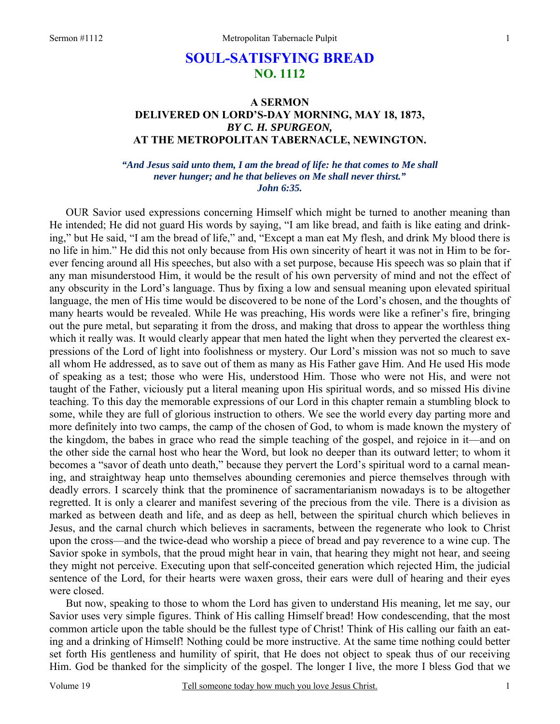# **SOUL-SATISFYING BREAD NO. 1112**

## **A SERMON DELIVERED ON LORD'S-DAY MORNING, MAY 18, 1873,**  *BY C. H. SPURGEON,*  **AT THE METROPOLITAN TABERNACLE, NEWINGTON.**

*"And Jesus said unto them, I am the bread of life: he that comes to Me shall never hunger; and he that believes on Me shall never thirst." John 6:35.* 

OUR Savior used expressions concerning Himself which might be turned to another meaning than He intended; He did not guard His words by saying, "I am like bread, and faith is like eating and drinking," but He said, "I am the bread of life," and, "Except a man eat My flesh, and drink My blood there is no life in him." He did this not only because from His own sincerity of heart it was not in Him to be forever fencing around all His speeches, but also with a set purpose, because His speech was so plain that if any man misunderstood Him, it would be the result of his own perversity of mind and not the effect of any obscurity in the Lord's language. Thus by fixing a low and sensual meaning upon elevated spiritual language, the men of His time would be discovered to be none of the Lord's chosen, and the thoughts of many hearts would be revealed. While He was preaching, His words were like a refiner's fire, bringing out the pure metal, but separating it from the dross, and making that dross to appear the worthless thing which it really was. It would clearly appear that men hated the light when they perverted the clearest expressions of the Lord of light into foolishness or mystery. Our Lord's mission was not so much to save all whom He addressed, as to save out of them as many as His Father gave Him. And He used His mode of speaking as a test; those who were His, understood Him. Those who were not His, and were not taught of the Father, viciously put a literal meaning upon His spiritual words, and so missed His divine teaching. To this day the memorable expressions of our Lord in this chapter remain a stumbling block to some, while they are full of glorious instruction to others. We see the world every day parting more and more definitely into two camps, the camp of the chosen of God, to whom is made known the mystery of the kingdom, the babes in grace who read the simple teaching of the gospel, and rejoice in it—and on the other side the carnal host who hear the Word, but look no deeper than its outward letter; to whom it becomes a "savor of death unto death," because they pervert the Lord's spiritual word to a carnal meaning, and straightway heap unto themselves abounding ceremonies and pierce themselves through with deadly errors. I scarcely think that the prominence of sacramentarianism nowadays is to be altogether regretted. It is only a clearer and manifest severing of the precious from the vile. There is a division as marked as between death and life, and as deep as hell, between the spiritual church which believes in Jesus, and the carnal church which believes in sacraments, between the regenerate who look to Christ upon the cross—and the twice-dead who worship a piece of bread and pay reverence to a wine cup. The Savior spoke in symbols, that the proud might hear in vain, that hearing they might not hear, and seeing they might not perceive. Executing upon that self-conceited generation which rejected Him, the judicial sentence of the Lord, for their hearts were waxen gross, their ears were dull of hearing and their eyes were closed.

But now, speaking to those to whom the Lord has given to understand His meaning, let me say, our Savior uses very simple figures. Think of His calling Himself bread! How condescending, that the most common article upon the table should be the fullest type of Christ! Think of His calling our faith an eating and a drinking of Himself! Nothing could be more instructive. At the same time nothing could better set forth His gentleness and humility of spirit, that He does not object to speak thus of our receiving Him. God be thanked for the simplicity of the gospel. The longer I live, the more I bless God that we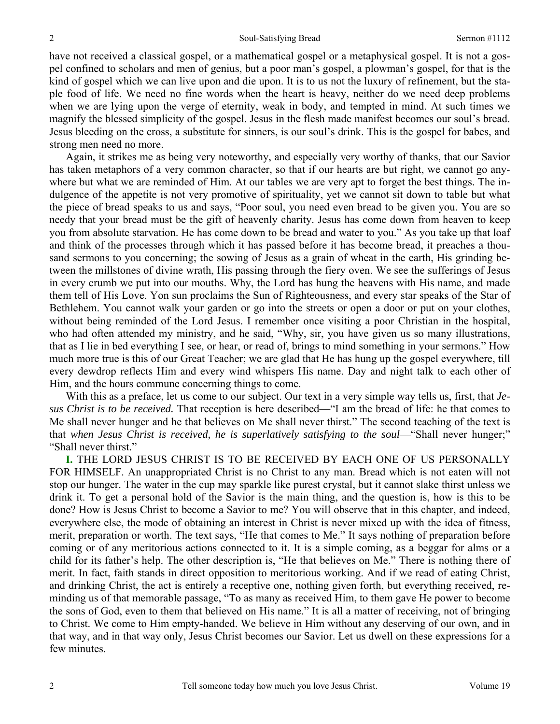have not received a classical gospel, or a mathematical gospel or a metaphysical gospel. It is not a gospel confined to scholars and men of genius, but a poor man's gospel, a plowman's gospel, for that is the kind of gospel which we can live upon and die upon. It is to us not the luxury of refinement, but the staple food of life. We need no fine words when the heart is heavy, neither do we need deep problems when we are lying upon the verge of eternity, weak in body, and tempted in mind. At such times we magnify the blessed simplicity of the gospel. Jesus in the flesh made manifest becomes our soul's bread. Jesus bleeding on the cross, a substitute for sinners, is our soul's drink. This is the gospel for babes, and strong men need no more.

Again, it strikes me as being very noteworthy, and especially very worthy of thanks, that our Savior has taken metaphors of a very common character, so that if our hearts are but right, we cannot go anywhere but what we are reminded of Him. At our tables we are very apt to forget the best things. The indulgence of the appetite is not very promotive of spirituality, yet we cannot sit down to table but what the piece of bread speaks to us and says, "Poor soul, you need even bread to be given you. You are so needy that your bread must be the gift of heavenly charity. Jesus has come down from heaven to keep you from absolute starvation. He has come down to be bread and water to you." As you take up that loaf and think of the processes through which it has passed before it has become bread, it preaches a thousand sermons to you concerning; the sowing of Jesus as a grain of wheat in the earth, His grinding between the millstones of divine wrath, His passing through the fiery oven. We see the sufferings of Jesus in every crumb we put into our mouths. Why, the Lord has hung the heavens with His name, and made them tell of His Love. Yon sun proclaims the Sun of Righteousness, and every star speaks of the Star of Bethlehem. You cannot walk your garden or go into the streets or open a door or put on your clothes, without being reminded of the Lord Jesus. I remember once visiting a poor Christian in the hospital, who had often attended my ministry, and he said, "Why, sir, you have given us so many illustrations, that as I lie in bed everything I see, or hear, or read of, brings to mind something in your sermons." How much more true is this of our Great Teacher; we are glad that He has hung up the gospel everywhere, till every dewdrop reflects Him and every wind whispers His name. Day and night talk to each other of Him, and the hours commune concerning things to come.

With this as a preface, let us come to our subject. Our text in a very simple way tells us, first, that *Jesus Christ is to be received.* That reception is here described—"I am the bread of life: he that comes to Me shall never hunger and he that believes on Me shall never thirst." The second teaching of the text is that when Jesus Christ is received, he is superlatively satisfying to the soul—"Shall never hunger;" "Shall never thirst."

**I.** THE LORD JESUS CHRIST IS TO BE RECEIVED BY EACH ONE OF US PERSONALLY FOR HIMSELF. An unappropriated Christ is no Christ to any man. Bread which is not eaten will not stop our hunger. The water in the cup may sparkle like purest crystal, but it cannot slake thirst unless we drink it. To get a personal hold of the Savior is the main thing, and the question is, how is this to be done? How is Jesus Christ to become a Savior to me? You will observe that in this chapter, and indeed, everywhere else, the mode of obtaining an interest in Christ is never mixed up with the idea of fitness, merit, preparation or worth. The text says, "He that comes to Me." It says nothing of preparation before coming or of any meritorious actions connected to it. It is a simple coming, as a beggar for alms or a child for its father's help. The other description is, "He that believes on Me." There is nothing there of merit. In fact, faith stands in direct opposition to meritorious working. And if we read of eating Christ, and drinking Christ, the act is entirely a receptive one, nothing given forth, but everything received, reminding us of that memorable passage, "To as many as received Him, to them gave He power to become the sons of God, even to them that believed on His name." It is all a matter of receiving, not of bringing to Christ. We come to Him empty-handed. We believe in Him without any deserving of our own, and in that way, and in that way only, Jesus Christ becomes our Savior. Let us dwell on these expressions for a few minutes.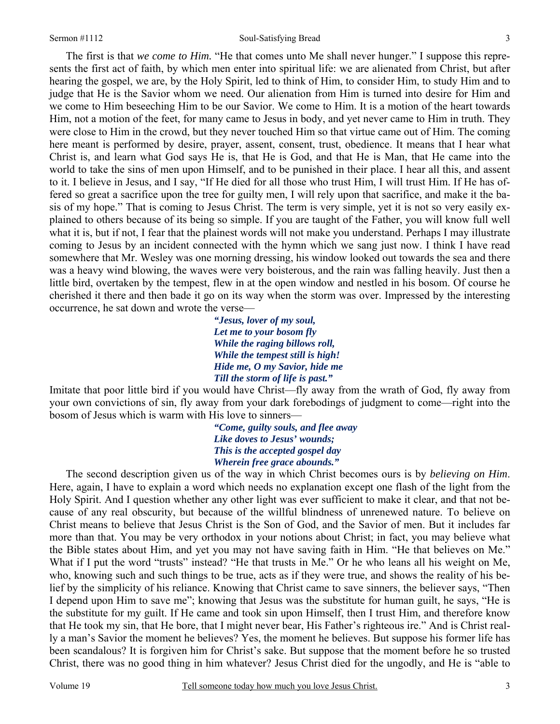#### Sermon #1112 Soul-Satisfying Bread

3

The first is that *we come to Him.* "He that comes unto Me shall never hunger." I suppose this represents the first act of faith, by which men enter into spiritual life: we are alienated from Christ, but after hearing the gospel, we are, by the Holy Spirit, led to think of Him, to consider Him, to study Him and to judge that He is the Savior whom we need. Our alienation from Him is turned into desire for Him and we come to Him beseeching Him to be our Savior. We come to Him. It is a motion of the heart towards Him, not a motion of the feet, for many came to Jesus in body, and yet never came to Him in truth. They were close to Him in the crowd, but they never touched Him so that virtue came out of Him. The coming here meant is performed by desire, prayer, assent, consent, trust, obedience. It means that I hear what Christ is, and learn what God says He is, that He is God, and that He is Man, that He came into the world to take the sins of men upon Himself, and to be punished in their place. I hear all this, and assent to it. I believe in Jesus, and I say, "If He died for all those who trust Him, I will trust Him. If He has offered so great a sacrifice upon the tree for guilty men, I will rely upon that sacrifice, and make it the basis of my hope." That is coming to Jesus Christ. The term is very simple, yet it is not so very easily explained to others because of its being so simple. If you are taught of the Father, you will know full well what it is, but if not, I fear that the plainest words will not make you understand. Perhaps I may illustrate coming to Jesus by an incident connected with the hymn which we sang just now. I think I have read somewhere that Mr. Wesley was one morning dressing, his window looked out towards the sea and there was a heavy wind blowing, the waves were very boisterous, and the rain was falling heavily. Just then a little bird, overtaken by the tempest, flew in at the open window and nestled in his bosom. Of course he cherished it there and then bade it go on its way when the storm was over. Impressed by the interesting occurrence, he sat down and wrote the verse—

*"Jesus, lover of my soul, Let me to your bosom fly While the raging billows roll, While the tempest still is high! Hide me, O my Savior, hide me Till the storm of life is past."* 

Imitate that poor little bird if you would have Christ—fly away from the wrath of God, fly away from your own convictions of sin, fly away from your dark forebodings of judgment to come—right into the bosom of Jesus which is warm with His love to sinners—

> *"Come, guilty souls, and flee away Like doves to Jesus' wounds; This is the accepted gospel day Wherein free grace abounds."*

The second description given us of the way in which Christ becomes ours is by *believing on Him*. Here, again, I have to explain a word which needs no explanation except one flash of the light from the Holy Spirit. And I question whether any other light was ever sufficient to make it clear, and that not because of any real obscurity, but because of the willful blindness of unrenewed nature. To believe on Christ means to believe that Jesus Christ is the Son of God, and the Savior of men. But it includes far more than that. You may be very orthodox in your notions about Christ; in fact, you may believe what the Bible states about Him, and yet you may not have saving faith in Him. "He that believes on Me." What if I put the word "trusts" instead? "He that trusts in Me." Or he who leans all his weight on Me, who, knowing such and such things to be true, acts as if they were true, and shows the reality of his belief by the simplicity of his reliance. Knowing that Christ came to save sinners, the believer says, "Then I depend upon Him to save me"; knowing that Jesus was the substitute for human guilt, he says, "He is the substitute for my guilt. If He came and took sin upon Himself, then I trust Him, and therefore know that He took my sin, that He bore, that I might never bear, His Father's righteous ire." And is Christ really a man's Savior the moment he believes? Yes, the moment he believes. But suppose his former life has been scandalous? It is forgiven him for Christ's sake. But suppose that the moment before he so trusted Christ, there was no good thing in him whatever? Jesus Christ died for the ungodly, and He is "able to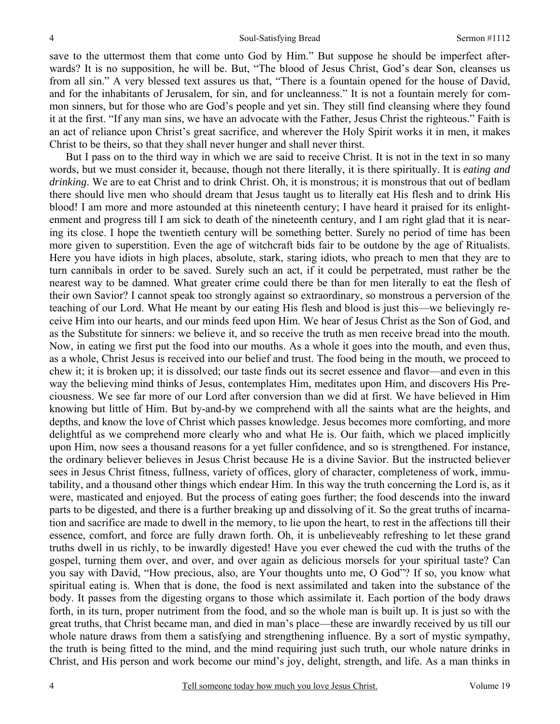save to the uttermost them that come unto God by Him." But suppose he should be imperfect afterwards? It is no supposition, he will be. But, "The blood of Jesus Christ, God's dear Son, cleanses us from all sin." A very blessed text assures us that, "There is a fountain opened for the house of David, and for the inhabitants of Jerusalem, for sin, and for uncleanness." It is not a fountain merely for common sinners, but for those who are God's people and yet sin. They still find cleansing where they found it at the first. "If any man sins, we have an advocate with the Father, Jesus Christ the righteous." Faith is an act of reliance upon Christ's great sacrifice, and wherever the Holy Spirit works it in men, it makes Christ to be theirs, so that they shall never hunger and shall never thirst.

But I pass on to the third way in which we are said to receive Christ. It is not in the text in so many words, but we must consider it, because, though not there literally, it is there spiritually. It is *eating and drinking*. We are to eat Christ and to drink Christ. Oh, it is monstrous; it is monstrous that out of bedlam there should live men who should dream that Jesus taught us to literally eat His flesh and to drink His blood! I am more and more astounded at this nineteenth century; I have heard it praised for its enlightenment and progress till I am sick to death of the nineteenth century, and I am right glad that it is nearing its close. I hope the twentieth century will be something better. Surely no period of time has been more given to superstition. Even the age of witchcraft bids fair to be outdone by the age of Ritualists. Here you have idiots in high places, absolute, stark, staring idiots, who preach to men that they are to turn cannibals in order to be saved. Surely such an act, if it could be perpetrated, must rather be the nearest way to be damned. What greater crime could there be than for men literally to eat the flesh of their own Savior? I cannot speak too strongly against so extraordinary, so monstrous a perversion of the teaching of our Lord. What He meant by our eating His flesh and blood is just this—we believingly receive Him into our hearts, and our minds feed upon Him. We hear of Jesus Christ as the Son of God, and as the Substitute for sinners: we believe it, and so receive the truth as men receive bread into the mouth. Now, in eating we first put the food into our mouths. As a whole it goes into the mouth, and even thus, as a whole, Christ Jesus is received into our belief and trust. The food being in the mouth, we proceed to chew it; it is broken up; it is dissolved; our taste finds out its secret essence and flavor—and even in this way the believing mind thinks of Jesus, contemplates Him, meditates upon Him, and discovers His Preciousness. We see far more of our Lord after conversion than we did at first. We have believed in Him knowing but little of Him. But by-and-by we comprehend with all the saints what are the heights, and depths, and know the love of Christ which passes knowledge. Jesus becomes more comforting, and more delightful as we comprehend more clearly who and what He is. Our faith, which we placed implicitly upon Him, now sees a thousand reasons for a yet fuller confidence, and so is strengthened. For instance, the ordinary believer believes in Jesus Christ because He is a divine Savior. But the instructed believer sees in Jesus Christ fitness, fullness, variety of offices, glory of character, completeness of work, immutability, and a thousand other things which endear Him. In this way the truth concerning the Lord is, as it were, masticated and enjoyed. But the process of eating goes further; the food descends into the inward parts to be digested, and there is a further breaking up and dissolving of it. So the great truths of incarnation and sacrifice are made to dwell in the memory, to lie upon the heart, to rest in the affections till their essence, comfort, and force are fully drawn forth. Oh, it is unbelieveably refreshing to let these grand truths dwell in us richly, to be inwardly digested! Have you ever chewed the cud with the truths of the gospel, turning them over, and over, and over again as delicious morsels for your spiritual taste? Can you say with David, "How precious, also, are Your thoughts unto me, O God"? If so, you know what spiritual eating is. When that is done, the food is next assimilated and taken into the substance of the body. It passes from the digesting organs to those which assimilate it. Each portion of the body draws forth, in its turn, proper nutriment from the food, and so the whole man is built up. It is just so with the great truths, that Christ became man, and died in man's place—these are inwardly received by us till our whole nature draws from them a satisfying and strengthening influence. By a sort of mystic sympathy, the truth is being fitted to the mind, and the mind requiring just such truth, our whole nature drinks in Christ, and His person and work become our mind's joy, delight, strength, and life. As a man thinks in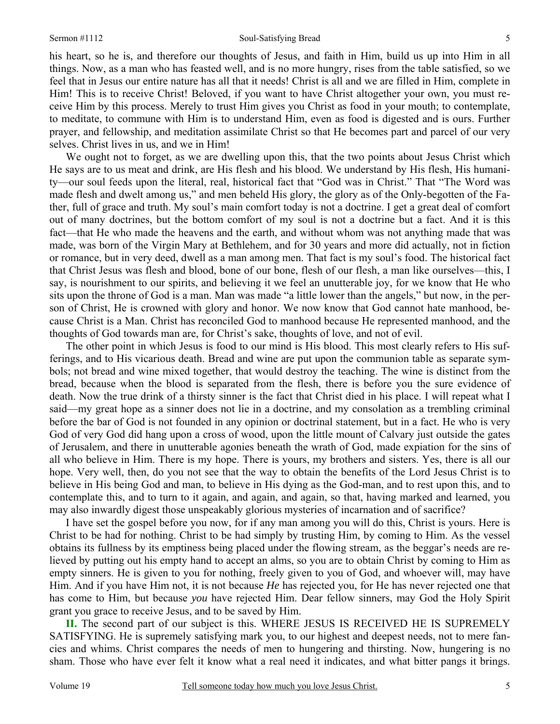#### Sermon #1112 Soul-Satisfying Bread

his heart, so he is, and therefore our thoughts of Jesus, and faith in Him, build us up into Him in all things. Now, as a man who has feasted well, and is no more hungry, rises from the table satisfied, so we feel that in Jesus our entire nature has all that it needs! Christ is all and we are filled in Him, complete in Him! This is to receive Christ! Beloved, if you want to have Christ altogether your own, you must receive Him by this process. Merely to trust Him gives you Christ as food in your mouth; to contemplate, to meditate, to commune with Him is to understand Him, even as food is digested and is ours. Further prayer, and fellowship, and meditation assimilate Christ so that He becomes part and parcel of our very selves. Christ lives in us, and we in Him!

We ought not to forget, as we are dwelling upon this, that the two points about Jesus Christ which He says are to us meat and drink, are His flesh and his blood. We understand by His flesh, His humanity—our soul feeds upon the literal, real, historical fact that "God was in Christ." That "The Word was made flesh and dwelt among us," and men beheld His glory, the glory as of the Only-begotten of the Father, full of grace and truth. My soul's main comfort today is not a doctrine. I get a great deal of comfort out of many doctrines, but the bottom comfort of my soul is not a doctrine but a fact. And it is this fact—that He who made the heavens and the earth, and without whom was not anything made that was made, was born of the Virgin Mary at Bethlehem, and for 30 years and more did actually, not in fiction or romance, but in very deed, dwell as a man among men. That fact is my soul's food. The historical fact that Christ Jesus was flesh and blood, bone of our bone, flesh of our flesh, a man like ourselves—this, I say, is nourishment to our spirits, and believing it we feel an unutterable joy, for we know that He who sits upon the throne of God is a man. Man was made "a little lower than the angels," but now, in the person of Christ, He is crowned with glory and honor. We now know that God cannot hate manhood, because Christ is a Man. Christ has reconciled God to manhood because He represented manhood, and the thoughts of God towards man are, for Christ's sake, thoughts of love, and not of evil.

The other point in which Jesus is food to our mind is His blood. This most clearly refers to His sufferings, and to His vicarious death. Bread and wine are put upon the communion table as separate symbols; not bread and wine mixed together, that would destroy the teaching. The wine is distinct from the bread, because when the blood is separated from the flesh, there is before you the sure evidence of death. Now the true drink of a thirsty sinner is the fact that Christ died in his place. I will repeat what I said—my great hope as a sinner does not lie in a doctrine, and my consolation as a trembling criminal before the bar of God is not founded in any opinion or doctrinal statement, but in a fact. He who is very God of very God did hang upon a cross of wood, upon the little mount of Calvary just outside the gates of Jerusalem, and there in unutterable agonies beneath the wrath of God, made expiation for the sins of all who believe in Him. There is my hope. There is yours, my brothers and sisters. Yes, there is all our hope. Very well, then, do you not see that the way to obtain the benefits of the Lord Jesus Christ is to believe in His being God and man, to believe in His dying as the God-man, and to rest upon this, and to contemplate this, and to turn to it again, and again, and again, so that, having marked and learned, you may also inwardly digest those unspeakably glorious mysteries of incarnation and of sacrifice?

I have set the gospel before you now, for if any man among you will do this, Christ is yours. Here is Christ to be had for nothing. Christ to be had simply by trusting Him, by coming to Him. As the vessel obtains its fullness by its emptiness being placed under the flowing stream, as the beggar's needs are relieved by putting out his empty hand to accept an alms, so you are to obtain Christ by coming to Him as empty sinners. He is given to you for nothing, freely given to you of God, and whoever will, may have Him. And if you have Him not, it is not because *He* has rejected you, for He has never rejected one that has come to Him, but because *you* have rejected Him. Dear fellow sinners, may God the Holy Spirit grant you grace to receive Jesus, and to be saved by Him.

**II.** The second part of our subject is this. WHERE JESUS IS RECEIVED HE IS SUPREMELY SATISFYING. He is supremely satisfying mark you, to our highest and deepest needs, not to mere fancies and whims. Christ compares the needs of men to hungering and thirsting. Now, hungering is no sham. Those who have ever felt it know what a real need it indicates, and what bitter pangs it brings.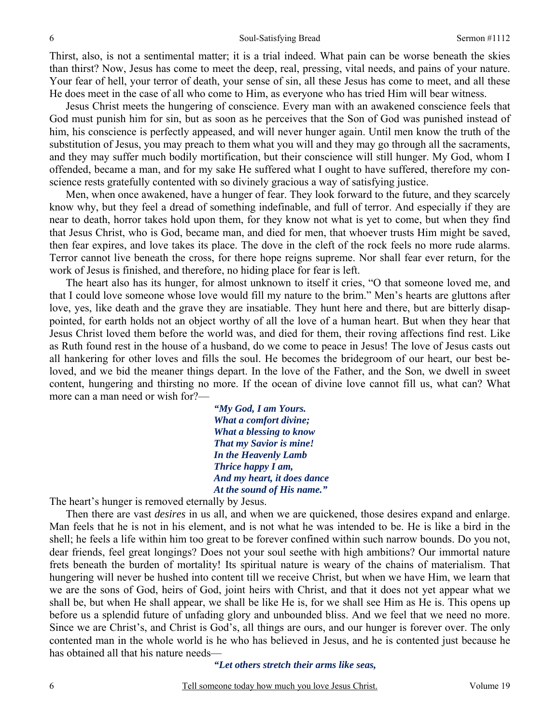Thirst, also, is not a sentimental matter; it is a trial indeed. What pain can be worse beneath the skies than thirst? Now, Jesus has come to meet the deep, real, pressing, vital needs, and pains of your nature. Your fear of hell, your terror of death, your sense of sin, all these Jesus has come to meet, and all these He does meet in the case of all who come to Him, as everyone who has tried Him will bear witness.

Jesus Christ meets the hungering of conscience. Every man with an awakened conscience feels that God must punish him for sin, but as soon as he perceives that the Son of God was punished instead of him, his conscience is perfectly appeased, and will never hunger again. Until men know the truth of the substitution of Jesus, you may preach to them what you will and they may go through all the sacraments, and they may suffer much bodily mortification, but their conscience will still hunger. My God, whom I offended, became a man, and for my sake He suffered what I ought to have suffered, therefore my conscience rests gratefully contented with so divinely gracious a way of satisfying justice.

Men, when once awakened, have a hunger of fear. They look forward to the future, and they scarcely know why, but they feel a dread of something indefinable, and full of terror. And especially if they are near to death, horror takes hold upon them, for they know not what is yet to come, but when they find that Jesus Christ, who is God, became man, and died for men, that whoever trusts Him might be saved, then fear expires, and love takes its place. The dove in the cleft of the rock feels no more rude alarms. Terror cannot live beneath the cross, for there hope reigns supreme. Nor shall fear ever return, for the work of Jesus is finished, and therefore, no hiding place for fear is left.

The heart also has its hunger, for almost unknown to itself it cries, "O that someone loved me, and that I could love someone whose love would fill my nature to the brim." Men's hearts are gluttons after love, yes, like death and the grave they are insatiable. They hunt here and there, but are bitterly disappointed, for earth holds not an object worthy of all the love of a human heart. But when they hear that Jesus Christ loved them before the world was, and died for them, their roving affections find rest. Like as Ruth found rest in the house of a husband, do we come to peace in Jesus! The love of Jesus casts out all hankering for other loves and fills the soul. He becomes the bridegroom of our heart, our best beloved, and we bid the meaner things depart. In the love of the Father, and the Son, we dwell in sweet content, hungering and thirsting no more. If the ocean of divine love cannot fill us, what can? What more can a man need or wish for?—

> *"My God, I am Yours. What a comfort divine; What a blessing to know That my Savior is mine! In the Heavenly Lamb Thrice happy I am, And my heart, it does dance At the sound of His name."*

The heart's hunger is removed eternally by Jesus.

 Then there are vast *desires* in us all, and when we are quickened, those desires expand and enlarge. Man feels that he is not in his element, and is not what he was intended to be. He is like a bird in the shell; he feels a life within him too great to be forever confined within such narrow bounds. Do you not, dear friends, feel great longings? Does not your soul seethe with high ambitions? Our immortal nature frets beneath the burden of mortality! Its spiritual nature is weary of the chains of materialism. That hungering will never be hushed into content till we receive Christ, but when we have Him, we learn that we are the sons of God, heirs of God, joint heirs with Christ, and that it does not yet appear what we shall be, but when He shall appear, we shall be like He is, for we shall see Him as He is. This opens up before us a splendid future of unfading glory and unbounded bliss. And we feel that we need no more. Since we are Christ's, and Christ is God's, all things are ours, and our hunger is forever over. The only contented man in the whole world is he who has believed in Jesus, and he is contented just because he has obtained all that his nature needs—

*"Let others stretch their arms like seas,*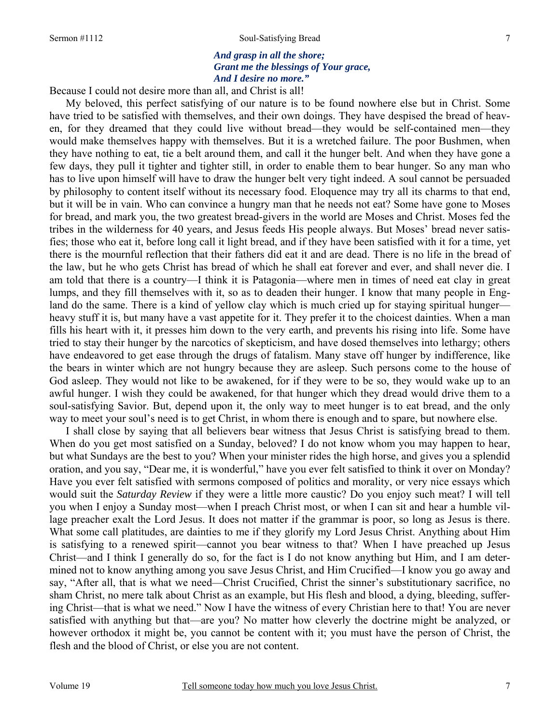#### Sermon #1112 Soul-Satisfying Bread

### *And grasp in all the shore; Grant me the blessings of Your grace, And I desire no more."*

Because I could not desire more than all, and Christ is all!

My beloved, this perfect satisfying of our nature is to be found nowhere else but in Christ. Some have tried to be satisfied with themselves, and their own doings. They have despised the bread of heaven, for they dreamed that they could live without bread—they would be self-contained men—they would make themselves happy with themselves. But it is a wretched failure. The poor Bushmen, when they have nothing to eat, tie a belt around them, and call it the hunger belt. And when they have gone a few days, they pull it tighter and tighter still, in order to enable them to bear hunger. So any man who has to live upon himself will have to draw the hunger belt very tight indeed. A soul cannot be persuaded by philosophy to content itself without its necessary food. Eloquence may try all its charms to that end, but it will be in vain. Who can convince a hungry man that he needs not eat? Some have gone to Moses for bread, and mark you, the two greatest bread-givers in the world are Moses and Christ. Moses fed the tribes in the wilderness for 40 years, and Jesus feeds His people always. But Moses' bread never satisfies; those who eat it, before long call it light bread, and if they have been satisfied with it for a time, yet there is the mournful reflection that their fathers did eat it and are dead. There is no life in the bread of the law, but he who gets Christ has bread of which he shall eat forever and ever, and shall never die. I am told that there is a country—I think it is Patagonia—where men in times of need eat clay in great lumps, and they fill themselves with it, so as to deaden their hunger. I know that many people in England do the same. There is a kind of yellow clay which is much cried up for staying spiritual hunger heavy stuff it is, but many have a vast appetite for it. They prefer it to the choicest dainties. When a man fills his heart with it, it presses him down to the very earth, and prevents his rising into life. Some have tried to stay their hunger by the narcotics of skepticism, and have dosed themselves into lethargy; others have endeavored to get ease through the drugs of fatalism. Many stave off hunger by indifference, like the bears in winter which are not hungry because they are asleep. Such persons come to the house of God asleep. They would not like to be awakened, for if they were to be so, they would wake up to an awful hunger. I wish they could be awakened, for that hunger which they dread would drive them to a soul-satisfying Savior. But, depend upon it, the only way to meet hunger is to eat bread, and the only way to meet your soul's need is to get Christ, in whom there is enough and to spare, but nowhere else.

I shall close by saying that all believers bear witness that Jesus Christ is satisfying bread to them. When do you get most satisfied on a Sunday, beloved? I do not know whom you may happen to hear, but what Sundays are the best to you? When your minister rides the high horse, and gives you a splendid oration, and you say, "Dear me, it is wonderful," have you ever felt satisfied to think it over on Monday? Have you ever felt satisfied with sermons composed of politics and morality, or very nice essays which would suit the *Saturday Review* if they were a little more caustic? Do you enjoy such meat? I will tell you when I enjoy a Sunday most—when I preach Christ most, or when I can sit and hear a humble village preacher exalt the Lord Jesus. It does not matter if the grammar is poor, so long as Jesus is there. What some call platitudes, are dainties to me if they glorify my Lord Jesus Christ. Anything about Him is satisfying to a renewed spirit—cannot you bear witness to that? When I have preached up Jesus Christ—and I think I generally do so, for the fact is I do not know anything but Him, and I am determined not to know anything among you save Jesus Christ, and Him Crucified—I know you go away and say, "After all, that is what we need—Christ Crucified, Christ the sinner's substitutionary sacrifice, no sham Christ, no mere talk about Christ as an example, but His flesh and blood, a dying, bleeding, suffering Christ—that is what we need." Now I have the witness of every Christian here to that! You are never satisfied with anything but that—are you? No matter how cleverly the doctrine might be analyzed, or however orthodox it might be, you cannot be content with it; you must have the person of Christ, the flesh and the blood of Christ, or else you are not content.